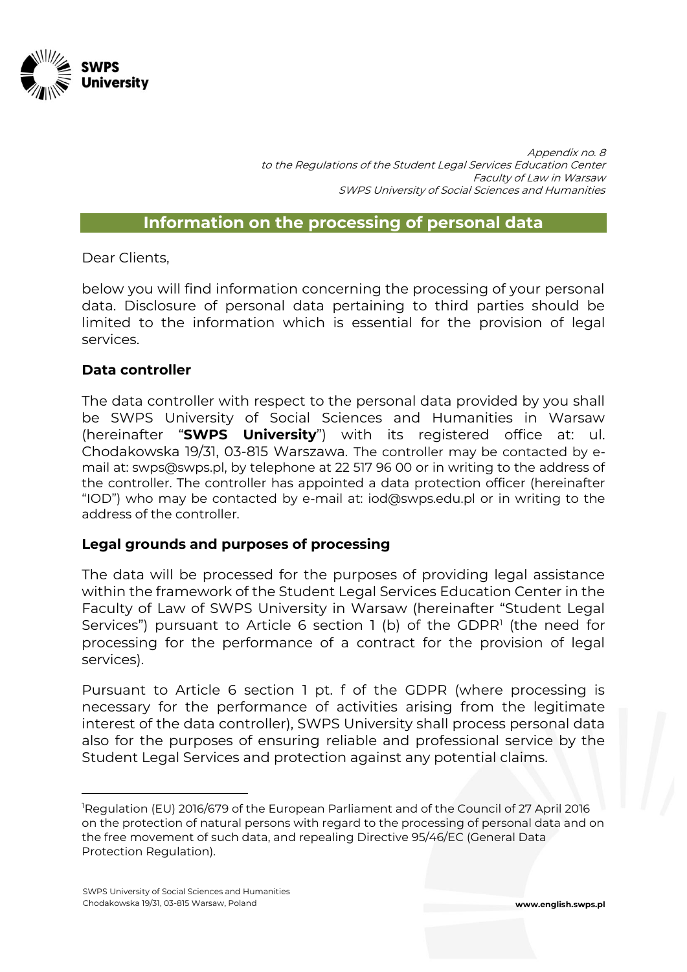

Appendix no. 8 to the Regulations of the Student Legal Services Education Center Faculty of Law in Warsaw SWPS University of Social Sciences and Humanities

#### **Information on the processing of personal data**

Dear Clients,

below you will find information concerning the processing of your personal data. Disclosure of personal data pertaining to third parties should be limited to the information which is essential for the provision of legal services.

#### **Data controller**

The data controller with respect to the personal data provided by you shall be SWPS University of Social Sciences and Humanities in Warsaw (hereinafter "**SWPS University**") with its registered office at: ul. Chodakowska 19/31, 03-815 Warszawa. The controller may be contacted by email at: swps@swps.pl, by telephone at 22 517 96 00 or in writing to the address of the controller. The controller has appointed a data protection officer (hereinafter "IOD") who may be contacted by e-mail at: iod@swps.edu.pl or in writing to the address of the controller.

#### **Legal grounds and purposes of processing**

The data will be processed for the purposes of providing legal assistance within the framework of the Student Legal Services Education Center in the Faculty of Law of SWPS University in Warsaw (hereinafter "Student Legal Services") pursuant to Article 6 section 1 (b) of the GDPR<sup>1</sup> (the need for processing for the performance of a contract for the provision of legal services).

Pursuant to Article 6 section 1 pt. f of the GDPR (where processing is necessary for the performance of activities arising from the legitimate interest of the data controller), SWPS University shall process personal data also for the purposes of ensuring reliable and professional service by the Student Legal Services and protection against any potential claims.

 $\overline{a}$ 

<sup>1</sup>Regulation (EU) 2016/679 of the European Parliament and of the Council of 27 April 2016 on the protection of natural persons with regard to the processing of personal data and on the free movement of such data, and repealing Directive 95/46/EC (General Data Protection Regulation).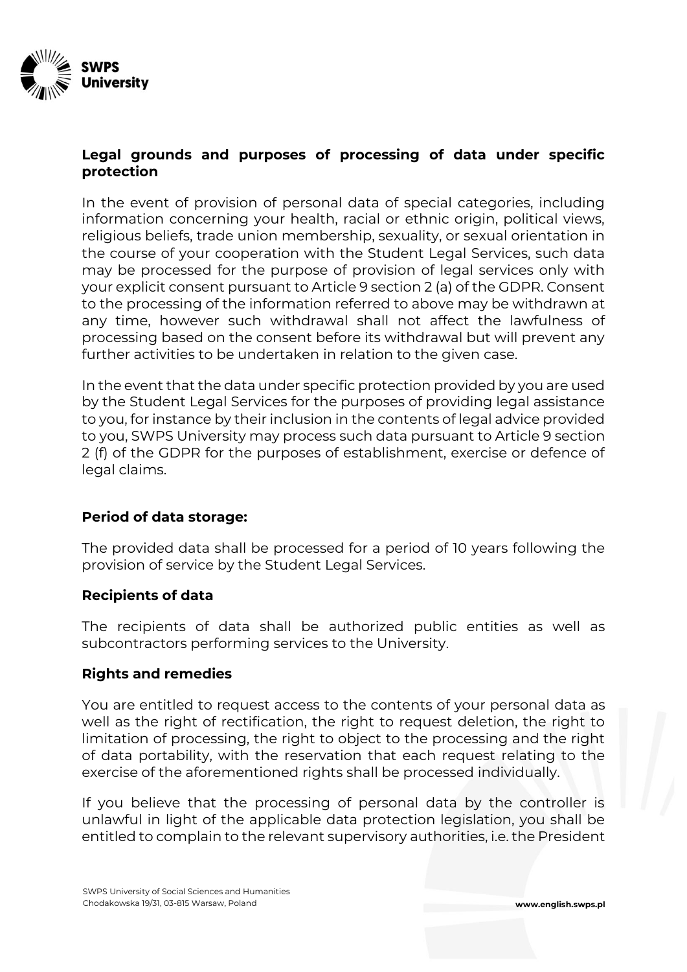

# **Legal grounds and purposes of processing of data under specific protection**

In the event of provision of personal data of special categories, including information concerning your health, racial or ethnic origin, political views, religious beliefs, trade union membership, sexuality, or sexual orientation in the course of your cooperation with the Student Legal Services, such data may be processed for the purpose of provision of legal services only with your explicit consent pursuant to Article 9 section 2 (a) of the GDPR. Consent to the processing of the information referred to above may be withdrawn at any time, however such withdrawal shall not affect the lawfulness of processing based on the consent before its withdrawal but will prevent any further activities to be undertaken in relation to the given case.

In the event that the data under specific protection provided by you are used by the Student Legal Services for the purposes of providing legal assistance to you, for instance by their inclusion in the contents of legal advice provided to you, SWPS University may process such data pursuant to Article 9 section 2 (f) of the GDPR for the purposes of establishment, exercise or defence of legal claims.

# **Period of data storage:**

The provided data shall be processed for a period of 10 years following the provision of service by the Student Legal Services.

# **Recipients of data**

The recipients of data shall be authorized public entities as well as subcontractors performing services to the University.

# **Rights and remedies**

You are entitled to request access to the contents of your personal data as well as the right of rectification, the right to request deletion, the right to limitation of processing, the right to object to the processing and the right of data portability, with the reservation that each request relating to the exercise of the aforementioned rights shall be processed individually.

If you believe that the processing of personal data by the controller is unlawful in light of the applicable data protection legislation, you shall be entitled to complain to the relevant supervisory authorities, i.e. the President